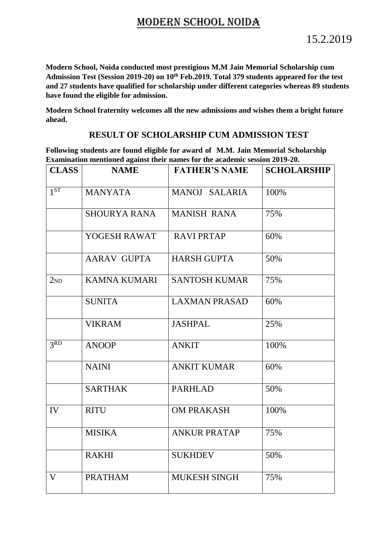## MODERN SCHOOL NOIDA

**Modern School, Noida conducted most prestigious M.M Jain Memorial Scholarship cum Admission Test (Session 2019-20) on 10th Feb.2019. Total 379 students appeared for the test and 27 students have qualified for scholarship under different categories whereas 89 students have found the eligible for admission.**

**Modern School fraternity welcomes all the new admissions and wishes them a bright future ahead.**

## **RESULT OF SCHOLARSHIP CUM ADMISSION TEST**

**Following students are found eligible for award of M.M. Jain Memorial Scholarship Examination mentioned against their names for the academic session 2019-20.** 

| <b>CLASS</b>    | <b>NAME</b>         | <b>FATHER'S NAME</b> | <b>SCHOLARSHIP</b> |
|-----------------|---------------------|----------------------|--------------------|
|                 |                     |                      |                    |
| 1 <sup>ST</sup> | <b>MANYATA</b>      | MANOJ SALARIA        | 100%               |
|                 | <b>SHOURYA RANA</b> | <b>MANISH RANA</b>   | 75%                |
|                 | YOGESH RAWAT        | <b>RAVI PRTAP</b>    | 60%                |
|                 | <b>AARAV GUPTA</b>  | <b>HARSH GUPTA</b>   | 50%                |
| 2 <sub>ND</sub> | <b>KAMNA KUMARI</b> | <b>SANTOSH KUMAR</b> | 75%                |
|                 | <b>SUNITA</b>       | <b>LAXMAN PRASAD</b> | 60%                |
|                 | <b>VIKRAM</b>       | <b>JASHPAL</b>       | 25%                |
| 3RD             | <b>ANOOP</b>        | <b>ANKIT</b>         | 100%               |
|                 | <b>NAINI</b>        | <b>ANKIT KUMAR</b>   | 60%                |
|                 | <b>SARTHAK</b>      | <b>PARHLAD</b>       | 50%                |
| IV              | <b>RITU</b>         | <b>OM PRAKASH</b>    | 100%               |
|                 | <b>MISIKA</b>       | <b>ANKUR PRATAP</b>  | 75%                |
|                 | <b>RAKHI</b>        | <b>SUKHDEV</b>       | 50%                |
| $\mathbf V$     | <b>PRATHAM</b>      | <b>MUKESH SINGH</b>  | 75%                |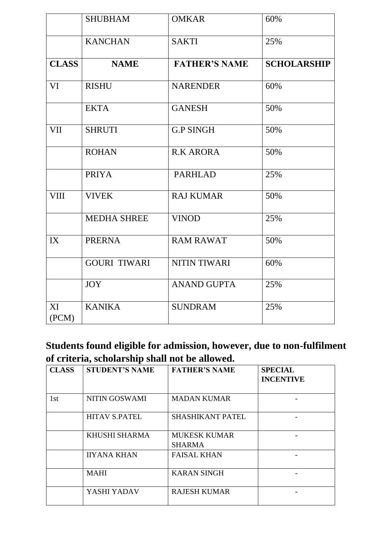|              | <b>SHUBHAM</b>      | <b>OMKAR</b>         | 60%                |
|--------------|---------------------|----------------------|--------------------|
|              | <b>KANCHAN</b>      | <b>SAKTI</b>         | 25%                |
| <b>CLASS</b> | <b>NAME</b>         | <b>FATHER'S NAME</b> | <b>SCHOLARSHIP</b> |
| VI           | <b>RISHU</b>        | <b>NARENDER</b>      | 60%                |
|              | <b>EKTA</b>         | <b>GANESH</b>        | 50%                |
| <b>VII</b>   | <b>SHRUTI</b>       | <b>G.P SINGH</b>     | 50%                |
|              | <b>ROHAN</b>        | <b>R.K ARORA</b>     | 50%                |
|              | <b>PRIYA</b>        | <b>PARHLAD</b>       | 25%                |
| <b>VIII</b>  | <b>VIVEK</b>        | <b>RAJ KUMAR</b>     | 50%                |
|              | <b>MEDHA SHREE</b>  | <b>VINOD</b>         | 25%                |
| IX           | <b>PRERNA</b>       | <b>RAM RAWAT</b>     | 50%                |
|              | <b>GOURI TIWARI</b> | <b>NITIN TIWARI</b>  | 60%                |
|              | <b>JOY</b>          | <b>ANAND GUPTA</b>   | 25%                |
| XI<br>(PCM)  | <b>KANIKA</b>       | <b>SUNDRAM</b>       | 25%                |

**Students found eligible for admission, however, due to non-fulfilment of criteria, scholarship shall not be allowed.** 

| <b>CLASS</b> | <b>STUDENT'S NAME</b> | <b>FATHER'S NAME</b>                 | <b>SPECIAL</b><br><b>INCENTIVE</b> |
|--------------|-----------------------|--------------------------------------|------------------------------------|
| 1st          | NITIN GOSWAMI         | <b>MADAN KUMAR</b>                   |                                    |
|              | <b>HITAV S.PATEL</b>  | <b>SHASHIKANT PATEL</b>              |                                    |
|              | KHUSHI SHARMA         | <b>MUKESK KUMAR</b><br><b>SHARMA</b> |                                    |
|              | <b>IIYANA KHAN</b>    | <b>FAISAL KHAN</b>                   |                                    |
|              | <b>MAHI</b>           | <b>KARAN SINGH</b>                   |                                    |
|              | YASHI YADAV           | <b>RAJESH KUMAR</b>                  |                                    |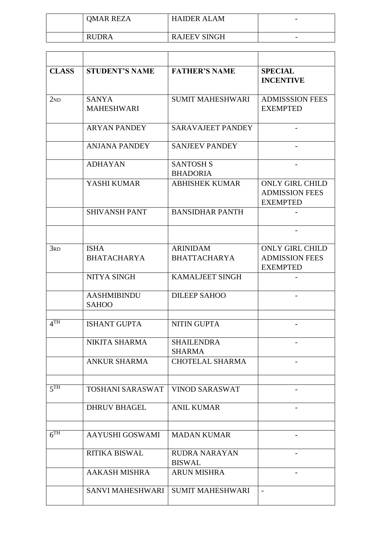| <b>OMAR REZA</b> | <b>HAIDER ALAM</b>  | $\overline{\phantom{0}}$ |
|------------------|---------------------|--------------------------|
| <b>RUDRA</b>     | <b>RAJEEV SINGH</b> |                          |

| <b>CLASS</b>        | <b>STUDENT'S NAME</b>              | <b>FATHER'S NAME</b>                   | <b>SPECIAL</b><br><b>INCENTIVE</b>                                 |
|---------------------|------------------------------------|----------------------------------------|--------------------------------------------------------------------|
| 2 <sub>ND</sub>     | <b>SANYA</b><br><b>MAHESHWARI</b>  | <b>SUMIT MAHESHWARI</b>                | <b>ADMISSSION FEES</b><br><b>EXEMPTED</b>                          |
|                     | <b>ARYAN PANDEY</b>                | <b>SARAVAJEET PANDEY</b>               |                                                                    |
|                     | <b>ANJANA PANDEY</b>               | <b>SANJEEV PANDEY</b>                  |                                                                    |
|                     | <b>ADHAYAN</b>                     | <b>SANTOSH S</b><br><b>BHADORIA</b>    |                                                                    |
|                     | YASHI KUMAR                        | <b>ABHISHEK KUMAR</b>                  | <b>ONLY GIRL CHILD</b><br><b>ADMISSION FEES</b><br><b>EXEMPTED</b> |
|                     | <b>SHIVANSH PANT</b>               | <b>BANSIDHAR PANTH</b>                 |                                                                    |
|                     |                                    |                                        |                                                                    |
| 3 <sub>RD</sub>     | <b>ISHA</b><br><b>BHATACHARYA</b>  | <b>ARINIDAM</b><br><b>BHATTACHARYA</b> | <b>ONLY GIRL CHILD</b><br><b>ADMISSION FEES</b><br><b>EXEMPTED</b> |
|                     | NITYA SINGH                        | <b>KAMALJEET SINGH</b>                 |                                                                    |
|                     | <b>AASHMIBINDU</b><br><b>SAHOO</b> | <b>DILEEP SAHOO</b>                    |                                                                    |
| $4$ <sup>TH</sup>   | <b>ISHANT GUPTA</b>                | <b>NITIN GUPTA</b>                     |                                                                    |
|                     | NIKITA SHARMA                      | <b>SHAILENDRA</b><br><b>SHARMA</b>     |                                                                    |
|                     | <b>ANKUR SHARMA</b>                | <b>CHOTELAL SHARMA</b>                 |                                                                    |
| 5 <sup>TH</sup>     | TOSHANI SARASWAT                   | <b>VINOD SARASWAT</b>                  |                                                                    |
|                     | <b>DHRUV BHAGEL</b>                | <b>ANIL KUMAR</b>                      |                                                                    |
| $\overline{6^{TH}}$ | AAYUSHI GOSWAMI                    | <b>MADAN KUMAR</b>                     |                                                                    |
|                     | <b>RITIKA BISWAL</b>               | <b>RUDRA NARAYAN</b><br><b>BISWAL</b>  |                                                                    |
|                     | <b>AAKASH MISHRA</b>               | <b>ARUN MISHRA</b>                     |                                                                    |
|                     | <b>SANVI MAHESHWARI</b>            | <b>SUMIT MAHESHWARI</b>                | $\overline{\phantom{a}}$                                           |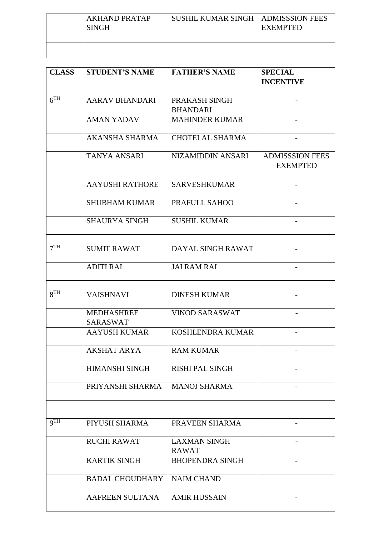| AKHAND PRATAP<br><b>SINGH</b> | SUSHIL KUMAR SINGH   ADMISSSION FEES | <b>EXEMPTED</b> |
|-------------------------------|--------------------------------------|-----------------|
|                               |                                      |                 |

| <b>CLASS</b>    | <b>STUDENT'S NAME</b>                | <b>FATHER'S NAME</b>                | <b>SPECIAL</b><br><b>INCENTIVE</b>        |
|-----------------|--------------------------------------|-------------------------------------|-------------------------------------------|
| 6 <sup>TH</sup> | <b>AARAV BHANDARI</b>                | PRAKASH SINGH<br><b>BHANDARI</b>    |                                           |
|                 | <b>AMAN YADAV</b>                    | <b>MAHINDER KUMAR</b>               |                                           |
|                 | <b>AKANSHA SHARMA</b>                | <b>CHOTELAL SHARMA</b>              |                                           |
|                 | <b>TANYA ANSARI</b>                  | NIZAMIDDIN ANSARI                   | <b>ADMISSSION FEES</b><br><b>EXEMPTED</b> |
|                 | <b>AAYUSHI RATHORE</b>               | <b>SARVESHKUMAR</b>                 |                                           |
|                 | <b>SHUBHAM KUMAR</b>                 | PRAFULL SAHOO                       |                                           |
|                 | <b>SHAURYA SINGH</b>                 | <b>SUSHIL KUMAR</b>                 |                                           |
| 7 <sup>TH</sup> | <b>SUMIT RAWAT</b>                   | DAYAL SINGH RAWAT                   |                                           |
|                 | <b>ADITI RAI</b>                     | <b>JAI RAM RAI</b>                  |                                           |
| 8 <sup>TH</sup> | <b>VAISHNAVI</b>                     | <b>DINESH KUMAR</b>                 |                                           |
|                 | <b>MEDHASHREE</b><br><b>SARASWAT</b> | <b>VINOD SARASWAT</b>               |                                           |
|                 | <b>AAYUSH KUMAR</b>                  | KOSHLENDRA KUMAR                    |                                           |
|                 | AKSHAT ARYA                          | <b>RAM KUMAR</b>                    |                                           |
|                 | <b>HIMANSHI SINGH</b>                | <b>RISHI PAL SINGH</b>              |                                           |
|                 | PRIYANSHI SHARMA                     | <b>MANOJ SHARMA</b>                 |                                           |
|                 |                                      |                                     |                                           |
| QTH             | PIYUSH SHARMA                        | PRAVEEN SHARMA                      |                                           |
|                 | <b>RUCHI RAWAT</b>                   | <b>LAXMAN SINGH</b><br><b>RAWAT</b> |                                           |
|                 | <b>KARTIK SINGH</b>                  | <b>BHOPENDRA SINGH</b>              | $\overline{\phantom{0}}$                  |
|                 | <b>BADAL CHOUDHARY</b>               | <b>NAIM CHAND</b>                   |                                           |
|                 | AAFREEN SULTANA                      | <b>AMIR HUSSAIN</b>                 |                                           |